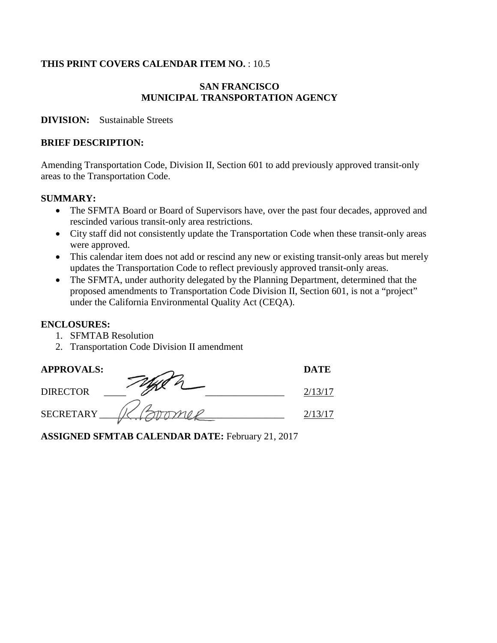#### **THIS PRINT COVERS CALENDAR ITEM NO.** : 10.5

#### **SAN FRANCISCO MUNICIPAL TRANSPORTATION AGENCY**

#### **DIVISION:** Sustainable Streets

#### **BRIEF DESCRIPTION:**

Amending Transportation Code, Division II, Section 601 to add previously approved transit-only areas to the Transportation Code.

#### **SUMMARY:**

- The SFMTA Board or Board of Supervisors have, over the past four decades, approved and rescinded various transit-only area restrictions.
- City staff did not consistently update the Transportation Code when these transit-only areas were approved.
- This calendar item does not add or rescind any new or existing transit-only areas but merely updates the Transportation Code to reflect previously approved transit-only areas.
- The SFMTA, under authority delegated by the Planning Department, determined that the proposed amendments to Transportation Code Division II, Section 601, is not a "project" under the California Environmental Quality Act (CEQA).

#### **ENCLOSURES:**

- 1. SFMTAB Resolution
- 2. Transportation Code Division II amendment

| <b>APPROVALS:</b> | <b>DATE</b> |
|-------------------|-------------|
| <b>DIRECTOR</b>   | 2/13/17     |
| <b>SECRETARY</b>  |             |

**ASSIGNED SFMTAB CALENDAR DATE:** February 21, 2017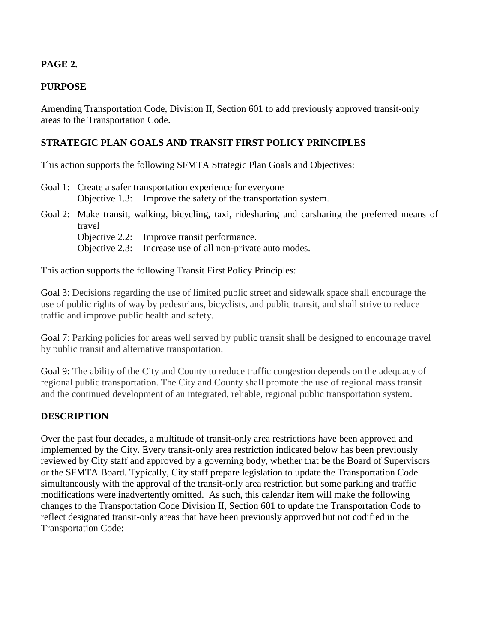# **PAGE 2.**

# **PURPOSE**

Amending Transportation Code, Division II, Section 601 to add previously approved transit-only areas to the Transportation Code.

# **STRATEGIC PLAN GOALS AND TRANSIT FIRST POLICY PRINCIPLES**

This action supports the following SFMTA Strategic Plan Goals and Objectives:

- Goal 1: Create a safer transportation experience for everyone Objective 1.3: Improve the safety of the transportation system.
- Goal 2: Make transit, walking, bicycling, taxi, ridesharing and carsharing the preferred means of travel Objective 2.2: Improve transit performance.
	- Objective 2.3: Increase use of all non-private auto modes.

This action supports the following Transit First Policy Principles:

Goal 3: Decisions regarding the use of limited public street and sidewalk space shall encourage the use of public rights of way by pedestrians, bicyclists, and public transit, and shall strive to reduce traffic and improve public health and safety.

Goal 7: Parking policies for areas well served by public transit shall be designed to encourage travel by public transit and alternative transportation.

Goal 9: The ability of the City and County to reduce traffic congestion depends on the adequacy of regional public transportation. The City and County shall promote the use of regional mass transit and the continued development of an integrated, reliable, regional public transportation system.

#### **DESCRIPTION**

Over the past four decades, a multitude of transit-only area restrictions have been approved and implemented by the City. Every transit-only area restriction indicated below has been previously reviewed by City staff and approved by a governing body, whether that be the Board of Supervisors or the SFMTA Board. Typically, City staff prepare legislation to update the Transportation Code simultaneously with the approval of the transit-only area restriction but some parking and traffic modifications were inadvertently omitted. As such, this calendar item will make the following changes to the Transportation Code Division II, Section 601 to update the Transportation Code to reflect designated transit-only areas that have been previously approved but not codified in the Transportation Code: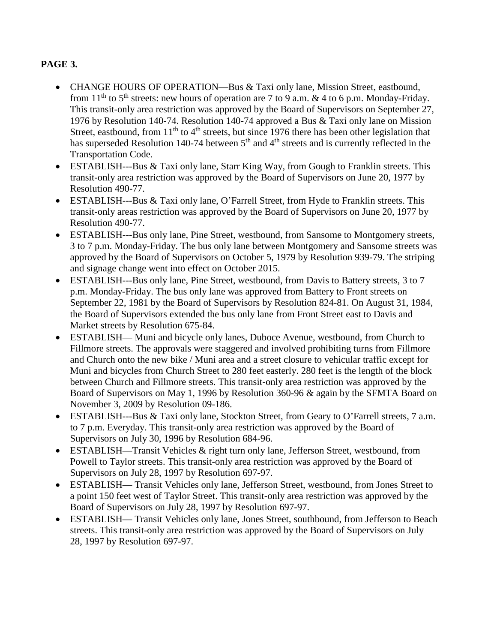# **PAGE 3.**

- CHANGE HOURS OF OPERATION—Bus & Taxi only lane, Mission Street, eastbound, from 11<sup>th</sup> to 5<sup>th</sup> streets: new hours of operation are 7 to 9 a.m. & 4 to 6 p.m. Monday-Friday. This transit-only area restriction was approved by the Board of Supervisors on September 27, 1976 by Resolution 140-74. Resolution 140-74 approved a Bus & Taxi only lane on Mission Street, eastbound, from 11<sup>th</sup> to 4<sup>th</sup> streets, but since 1976 there has been other legislation that has superseded Resolution 140-74 between  $5<sup>th</sup>$  and  $4<sup>th</sup>$  streets and is currently reflected in the Transportation Code.
- ESTABLISH---Bus & Taxi only lane, Starr King Way, from Gough to Franklin streets. This transit-only area restriction was approved by the Board of Supervisors on June 20, 1977 by Resolution 490-77.
- ESTABLISH---Bus & Taxi only lane, O'Farrell Street, from Hyde to Franklin streets. This transit-only areas restriction was approved by the Board of Supervisors on June 20, 1977 by Resolution 490-77.
- ESTABLISH---Bus only lane, Pine Street, westbound, from Sansome to Montgomery streets, 3 to 7 p.m. Monday-Friday. The bus only lane between Montgomery and Sansome streets was approved by the Board of Supervisors on October 5, 1979 by Resolution 939-79. The striping and signage change went into effect on October 2015.
- ESTABLISH---Bus only lane, Pine Street, westbound, from Davis to Battery streets, 3 to 7 p.m. Monday-Friday. The bus only lane was approved from Battery to Front streets on September 22, 1981 by the Board of Supervisors by Resolution 824-81. On August 31, 1984, the Board of Supervisors extended the bus only lane from Front Street east to Davis and Market streets by Resolution 675-84.
- ESTABLISH— Muni and bicycle only lanes, Duboce Avenue, westbound, from Church to Fillmore streets. The approvals were staggered and involved prohibiting turns from Fillmore and Church onto the new bike / Muni area and a street closure to vehicular traffic except for Muni and bicycles from Church Street to 280 feet easterly. 280 feet is the length of the block between Church and Fillmore streets. This transit-only area restriction was approved by the Board of Supervisors on May 1, 1996 by Resolution 360-96 & again by the SFMTA Board on November 3, 2009 by Resolution 09-186.
- ESTABLISH---Bus & Taxi only lane, Stockton Street, from Geary to O'Farrell streets, 7 a.m. to 7 p.m. Everyday. This transit-only area restriction was approved by the Board of Supervisors on July 30, 1996 by Resolution 684-96.
- ESTABLISH—Transit Vehicles & right turn only lane, Jefferson Street, westbound, from Powell to Taylor streets. This transit-only area restriction was approved by the Board of Supervisors on July 28, 1997 by Resolution 697-97.
- ESTABLISH— Transit Vehicles only lane, Jefferson Street, westbound, from Jones Street to a point 150 feet west of Taylor Street. This transit-only area restriction was approved by the Board of Supervisors on July 28, 1997 by Resolution 697-97.
- ESTABLISH— Transit Vehicles only lane, Jones Street, southbound, from Jefferson to Beach streets. This transit-only area restriction was approved by the Board of Supervisors on July 28, 1997 by Resolution 697-97.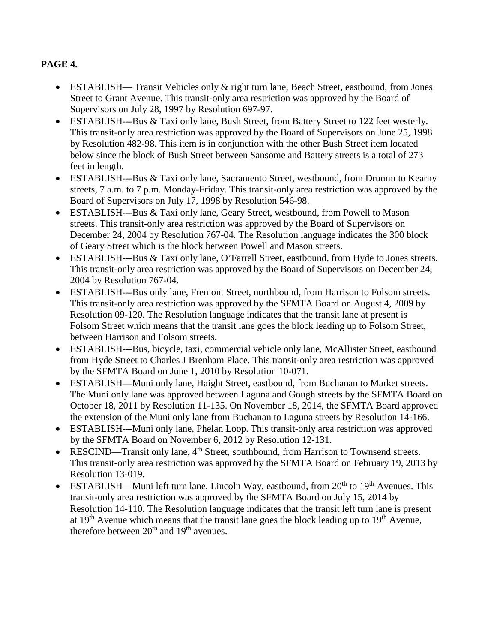# **PAGE 4.**

- ESTABLISH— Transit Vehicles only & right turn lane, Beach Street, eastbound, from Jones Street to Grant Avenue. This transit-only area restriction was approved by the Board of Supervisors on July 28, 1997 by Resolution 697-97.
- ESTABLISH---Bus & Taxi only lane, Bush Street, from Battery Street to 122 feet westerly. This transit-only area restriction was approved by the Board of Supervisors on June 25, 1998 by Resolution 482-98. This item is in conjunction with the other Bush Street item located below since the block of Bush Street between Sansome and Battery streets is a total of 273 feet in length.
- ESTABLISH---Bus & Taxi only lane, Sacramento Street, westbound, from Drumm to Kearny streets, 7 a.m. to 7 p.m. Monday-Friday. This transit-only area restriction was approved by the Board of Supervisors on July 17, 1998 by Resolution 546-98.
- ESTABLISH---Bus & Taxi only lane, Geary Street, westbound, from Powell to Mason streets. This transit-only area restriction was approved by the Board of Supervisors on December 24, 2004 by Resolution 767-04. The Resolution language indicates the 300 block of Geary Street which is the block between Powell and Mason streets.
- ESTABLISH---Bus & Taxi only lane, O'Farrell Street, eastbound, from Hyde to Jones streets. This transit-only area restriction was approved by the Board of Supervisors on December 24, 2004 by Resolution 767-04.
- ESTABLISH---Bus only lane, Fremont Street, northbound, from Harrison to Folsom streets. This transit-only area restriction was approved by the SFMTA Board on August 4, 2009 by Resolution 09-120. The Resolution language indicates that the transit lane at present is Folsom Street which means that the transit lane goes the block leading up to Folsom Street, between Harrison and Folsom streets.
- ESTABLISH---Bus, bicycle, taxi, commercial vehicle only lane, McAllister Street, eastbound from Hyde Street to Charles J Brenham Place. This transit-only area restriction was approved by the SFMTA Board on June 1, 2010 by Resolution 10-071.
- ESTABLISH—Muni only lane, Haight Street, eastbound, from Buchanan to Market streets. The Muni only lane was approved between Laguna and Gough streets by the SFMTA Board on October 18, 2011 by Resolution 11-135. On November 18, 2014, the SFMTA Board approved the extension of the Muni only lane from Buchanan to Laguna streets by Resolution 14-166.
- ESTABLISH---Muni only lane, Phelan Loop. This transit-only area restriction was approved by the SFMTA Board on November 6, 2012 by Resolution 12-131.
- RESCIND—Transit only lane, 4<sup>th</sup> Street, southbound, from Harrison to Townsend streets. This transit-only area restriction was approved by the SFMTA Board on February 19, 2013 by Resolution 13-019.
- ESTABLISH—Muni left turn lane, Lincoln Way, eastbound, from  $20<sup>th</sup>$  to  $19<sup>th</sup>$  Avenues. This transit-only area restriction was approved by the SFMTA Board on July 15, 2014 by Resolution 14-110. The Resolution language indicates that the transit left turn lane is present at  $19<sup>th</sup>$  Avenue which means that the transit lane goes the block leading up to  $19<sup>th</sup>$  Avenue, therefore between  $20<sup>th</sup>$  and  $19<sup>th</sup>$  avenues.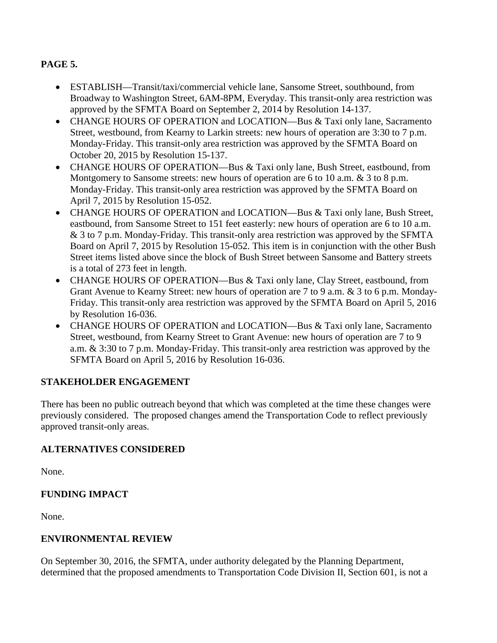# **PAGE 5.**

- ESTABLISH—Transit/taxi/commercial vehicle lane, Sansome Street, southbound, from Broadway to Washington Street, 6AM-8PM, Everyday. This transit-only area restriction was approved by the SFMTA Board on September 2, 2014 by Resolution 14-137.
- CHANGE HOURS OF OPERATION and LOCATION—Bus & Taxi only lane, Sacramento Street, westbound, from Kearny to Larkin streets: new hours of operation are 3:30 to 7 p.m. Monday-Friday. This transit-only area restriction was approved by the SFMTA Board on October 20, 2015 by Resolution 15-137.
- CHANGE HOURS OF OPERATION—Bus & Taxi only lane, Bush Street, eastbound, from Montgomery to Sansome streets: new hours of operation are 6 to 10 a.m. & 3 to 8 p.m. Monday-Friday. This transit-only area restriction was approved by the SFMTA Board on April 7, 2015 by Resolution 15-052.
- CHANGE HOURS OF OPERATION and LOCATION—Bus & Taxi only lane, Bush Street, eastbound, from Sansome Street to 151 feet easterly: new hours of operation are 6 to 10 a.m. & 3 to 7 p.m. Monday-Friday. This transit-only area restriction was approved by the SFMTA Board on April 7, 2015 by Resolution 15-052. This item is in conjunction with the other Bush Street items listed above since the block of Bush Street between Sansome and Battery streets is a total of 273 feet in length.
- CHANGE HOURS OF OPERATION—Bus & Taxi only lane, Clay Street, eastbound, from Grant Avenue to Kearny Street: new hours of operation are 7 to 9 a.m. & 3 to 6 p.m. Monday-Friday. This transit-only area restriction was approved by the SFMTA Board on April 5, 2016 by Resolution 16-036.
- CHANGE HOURS OF OPERATION and LOCATION—Bus & Taxi only lane, Sacramento Street, westbound, from Kearny Street to Grant Avenue: new hours of operation are 7 to 9 a.m. & 3:30 to 7 p.m. Monday-Friday. This transit-only area restriction was approved by the SFMTA Board on April 5, 2016 by Resolution 16-036.

# **STAKEHOLDER ENGAGEMENT**

There has been no public outreach beyond that which was completed at the time these changes were previously considered. The proposed changes amend the Transportation Code to reflect previously approved transit-only areas.

#### **ALTERNATIVES CONSIDERED**

None.

#### **FUNDING IMPACT**

None.

#### **ENVIRONMENTAL REVIEW**

On September 30, 2016, the SFMTA, under authority delegated by the Planning Department, determined that the proposed amendments to Transportation Code Division II, Section 601, is not a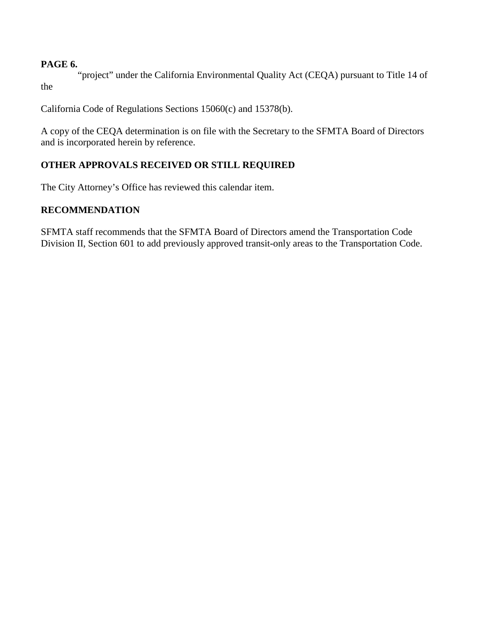#### **PAGE 6.**

"project" under the California Environmental Quality Act (CEQA) pursuant to Title 14 of the

California Code of Regulations Sections 15060(c) and 15378(b).

A copy of the CEQA determination is on file with the Secretary to the SFMTA Board of Directors and is incorporated herein by reference.

# **OTHER APPROVALS RECEIVED OR STILL REQUIRED**

The City Attorney's Office has reviewed this calendar item.

# **RECOMMENDATION**

SFMTA staff recommends that the SFMTA Board of Directors amend the Transportation Code Division II, Section 601 to add previously approved transit-only areas to the Transportation Code.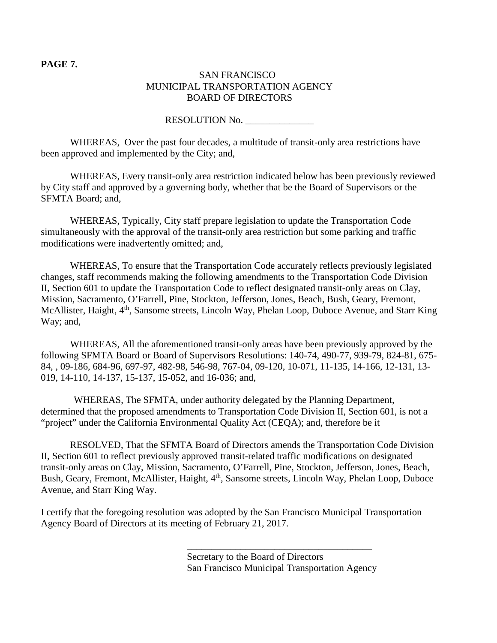#### **PAGE 7.**

#### SAN FRANCISCO MUNICIPAL TRANSPORTATION AGENCY BOARD OF DIRECTORS

#### RESOLUTION No.

WHEREAS, Over the past four decades, a multitude of transit-only area restrictions have been approved and implemented by the City; and,

WHEREAS, Every transit-only area restriction indicated below has been previously reviewed by City staff and approved by a governing body, whether that be the Board of Supervisors or the SFMTA Board; and,

WHEREAS, Typically, City staff prepare legislation to update the Transportation Code simultaneously with the approval of the transit-only area restriction but some parking and traffic modifications were inadvertently omitted; and,

WHEREAS, To ensure that the Transportation Code accurately reflects previously legislated changes, staff recommends making the following amendments to the Transportation Code Division II, Section 601 to update the Transportation Code to reflect designated transit-only areas on Clay, Mission, Sacramento, O'Farrell, Pine, Stockton, Jefferson, Jones, Beach, Bush, Geary, Fremont, McAllister, Haight, 4<sup>th</sup>, Sansome streets, Lincoln Way, Phelan Loop, Duboce Avenue, and Starr King Way; and,

WHEREAS, All the aforementioned transit-only areas have been previously approved by the following SFMTA Board or Board of Supervisors Resolutions: 140-74, 490-77, 939-79, 824-81, 675- 84, , 09-186, 684-96, 697-97, 482-98, 546-98, 767-04, 09-120, 10-071, 11-135, 14-166, 12-131, 13- 019, 14-110, 14-137, 15-137, 15-052, and 16-036; and,

WHEREAS, The SFMTA, under authority delegated by the Planning Department, determined that the proposed amendments to Transportation Code Division II, Section 601, is not a "project" under the California Environmental Quality Act (CEQA); and, therefore be it

RESOLVED, That the SFMTA Board of Directors amends the Transportation Code Division II, Section 601 to reflect previously approved transit-related traffic modifications on designated transit-only areas on Clay, Mission, Sacramento, O'Farrell, Pine, Stockton, Jefferson, Jones, Beach, Bush, Geary, Fremont, McAllister, Haight, 4<sup>th</sup>, Sansome streets, Lincoln Way, Phelan Loop, Duboce Avenue, and Starr King Way.

I certify that the foregoing resolution was adopted by the San Francisco Municipal Transportation Agency Board of Directors at its meeting of February 21, 2017.

> Secretary to the Board of Directors San Francisco Municipal Transportation Agency

\_\_\_\_\_\_\_\_\_\_\_\_\_\_\_\_\_\_\_\_\_\_\_\_\_\_\_\_\_\_\_\_\_\_\_\_\_\_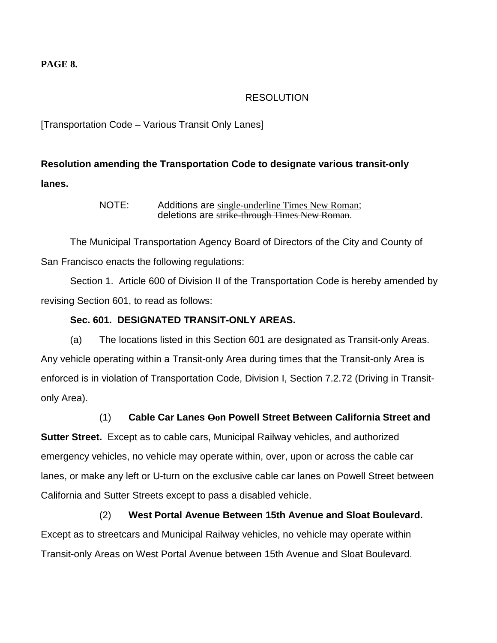#### **PAGE 8.**

## RESOLUTION

# [Transportation Code – Various Transit Only Lanes]

# **Resolution amending the Transportation Code to designate various transit-only lanes.**

NOTE: Additions are single-underline Times New Roman; deletions are strike-through Times New Roman.

The Municipal Transportation Agency Board of Directors of the City and County of San Francisco enacts the following regulations:

Section 1. Article 600 of Division II of the Transportation Code is hereby amended by revising Section 601, to read as follows:

## **Sec. 601. DESIGNATED TRANSIT-ONLY AREAS.**

(a) The locations listed in this Section 601 are designated as Transit-only Areas. Any vehicle operating within a Transit-only Area during times that the Transit-only Area is enforced is in violation of Transportation Code, Division I, Section 7.2.72 (Driving in Transitonly Area).

# (1) **Cable Car Lanes Oon Powell Street Between California Street and**

**Sutter Street.** Except as to cable cars, Municipal Railway vehicles, and authorized emergency vehicles, no vehicle may operate within, over, upon or across the cable car lanes, or make any left or U-turn on the exclusive cable car lanes on Powell Street between California and Sutter Streets except to pass a disabled vehicle.

# (2) **West Portal Avenue Between 15th Avenue and Sloat Boulevard.** Except as to streetcars and Municipal Railway vehicles, no vehicle may operate within Transit-only Areas on West Portal Avenue between 15th Avenue and Sloat Boulevard.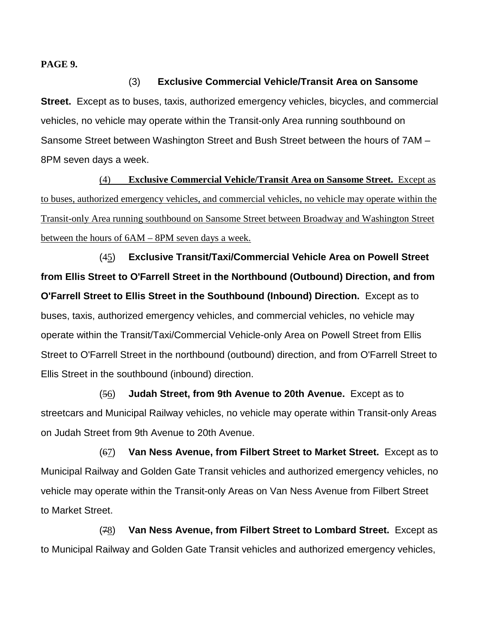**PAGE 9.**

#### (3) **Exclusive Commercial Vehicle/Transit Area on Sansome**

**Street.** Except as to buses, taxis, authorized emergency vehicles, bicycles, and commercial vehicles, no vehicle may operate within the Transit-only Area running southbound on Sansome Street between Washington Street and Bush Street between the hours of 7AM – 8PM seven days a week.

(4) **Exclusive Commercial Vehicle/Transit Area on Sansome Street.** Except as to buses, authorized emergency vehicles, and commercial vehicles, no vehicle may operate within the Transit-only Area running southbound on Sansome Street between Broadway and Washington Street between the hours of 6AM – 8PM seven days a week.

(45) **Exclusive Transit/Taxi/Commercial Vehicle Area on Powell Street from Ellis Street to O'Farrell Street in the Northbound (Outbound) Direction, and from O'Farrell Street to Ellis Street in the Southbound (Inbound) Direction.** Except as to buses, taxis, authorized emergency vehicles, and commercial vehicles, no vehicle may operate within the Transit/Taxi/Commercial Vehicle-only Area on Powell Street from Ellis Street to O'Farrell Street in the northbound (outbound) direction, and from O'Farrell Street to Ellis Street in the southbound (inbound) direction.

(56) **Judah Street, from 9th Avenue to 20th Avenue.** Except as to streetcars and Municipal Railway vehicles, no vehicle may operate within Transit-only Areas on Judah Street from 9th Avenue to 20th Avenue.

(67) **Van Ness Avenue, from Filbert Street to Market Street.** Except as to Municipal Railway and Golden Gate Transit vehicles and authorized emergency vehicles, no vehicle may operate within the Transit-only Areas on Van Ness Avenue from Filbert Street to Market Street.

(78) **Van Ness Avenue, from Filbert Street to Lombard Street.** Except as to Municipal Railway and Golden Gate Transit vehicles and authorized emergency vehicles,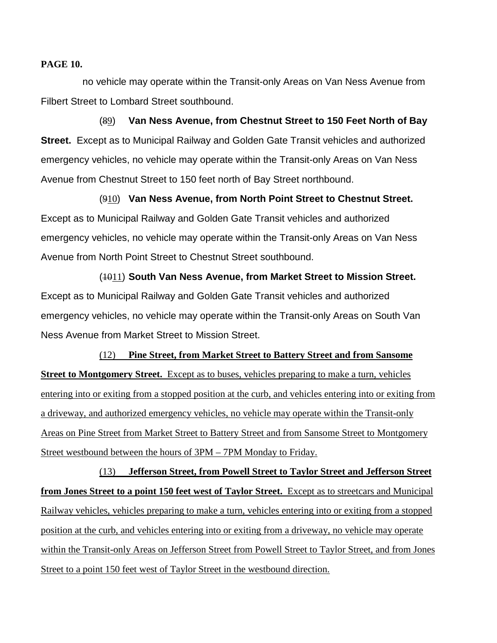#### **PAGE 10.**

no vehicle may operate within the Transit-only Areas on Van Ness Avenue from Filbert Street to Lombard Street southbound.

(89) **Van Ness Avenue, from Chestnut Street to 150 Feet North of Bay Street.** Except as to Municipal Railway and Golden Gate Transit vehicles and authorized emergency vehicles, no vehicle may operate within the Transit-only Areas on Van Ness Avenue from Chestnut Street to 150 feet north of Bay Street northbound.

(910) **Van Ness Avenue, from North Point Street to Chestnut Street.** Except as to Municipal Railway and Golden Gate Transit vehicles and authorized emergency vehicles, no vehicle may operate within the Transit-only Areas on Van Ness Avenue from North Point Street to Chestnut Street southbound.

(1011) **South Van Ness Avenue, from Market Street to Mission Street.** Except as to Municipal Railway and Golden Gate Transit vehicles and authorized emergency vehicles, no vehicle may operate within the Transit-only Areas on South Van Ness Avenue from Market Street to Mission Street.

(12) **Pine Street, from Market Street to Battery Street and from Sansome Street to Montgomery Street.** Except as to buses, vehicles preparing to make a turn, vehicles entering into or exiting from a stopped position at the curb, and vehicles entering into or exiting from a driveway, and authorized emergency vehicles, no vehicle may operate within the Transit-only Areas on Pine Street from Market Street to Battery Street and from Sansome Street to Montgomery Street westbound between the hours of 3PM – 7PM Monday to Friday.

(13) **Jefferson Street, from Powell Street to Taylor Street and Jefferson Street from Jones Street to a point 150 feet west of Taylor Street.** Except as to streetcars and Municipal Railway vehicles, vehicles preparing to make a turn, vehicles entering into or exiting from a stopped position at the curb, and vehicles entering into or exiting from a driveway, no vehicle may operate within the Transit-only Areas on Jefferson Street from Powell Street to Taylor Street, and from Jones Street to a point 150 feet west of Taylor Street in the westbound direction.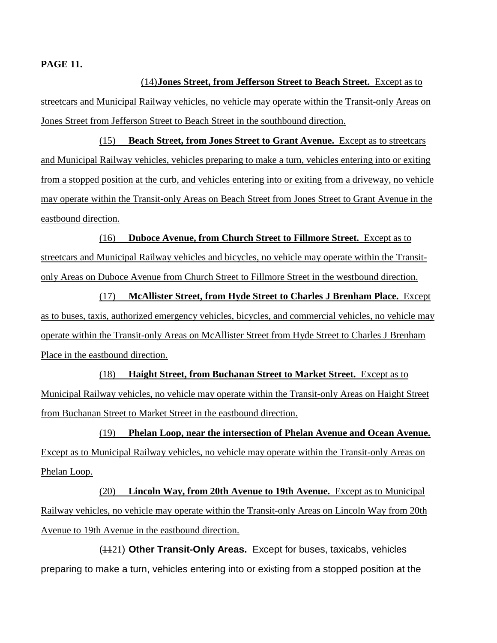#### **PAGE 11.**

(14)**Jones Street, from Jefferson Street to Beach Street.** Except as to streetcars and Municipal Railway vehicles, no vehicle may operate within the Transit-only Areas on Jones Street from Jefferson Street to Beach Street in the southbound direction.

(15) **Beach Street, from Jones Street to Grant Avenue.** Except as to streetcars and Municipal Railway vehicles, vehicles preparing to make a turn, vehicles entering into or exiting from a stopped position at the curb, and vehicles entering into or exiting from a driveway, no vehicle may operate within the Transit-only Areas on Beach Street from Jones Street to Grant Avenue in the eastbound direction.

(16) **Duboce Avenue, from Church Street to Fillmore Street.** Except as to streetcars and Municipal Railway vehicles and bicycles, no vehicle may operate within the Transitonly Areas on Duboce Avenue from Church Street to Fillmore Street in the westbound direction.

(17) **McAllister Street, from Hyde Street to Charles J Brenham Place.** Except as to buses, taxis, authorized emergency vehicles, bicycles, and commercial vehicles, no vehicle may operate within the Transit-only Areas on McAllister Street from Hyde Street to Charles J Brenham Place in the eastbound direction.

(18) **Haight Street, from Buchanan Street to Market Street.** Except as to Municipal Railway vehicles, no vehicle may operate within the Transit-only Areas on Haight Street from Buchanan Street to Market Street in the eastbound direction.

(19) **Phelan Loop, near the intersection of Phelan Avenue and Ocean Avenue.** Except as to Municipal Railway vehicles, no vehicle may operate within the Transit-only Areas on Phelan Loop.

(20) **Lincoln Way, from 20th Avenue to 19th Avenue.** Except as to Municipal Railway vehicles, no vehicle may operate within the Transit-only Areas on Lincoln Way from 20th Avenue to 19th Avenue in the eastbound direction.

(1121) **Other Transit-Only Areas.** Except for buses, taxicabs, vehicles preparing to make a turn, vehicles entering into or existing from a stopped position at the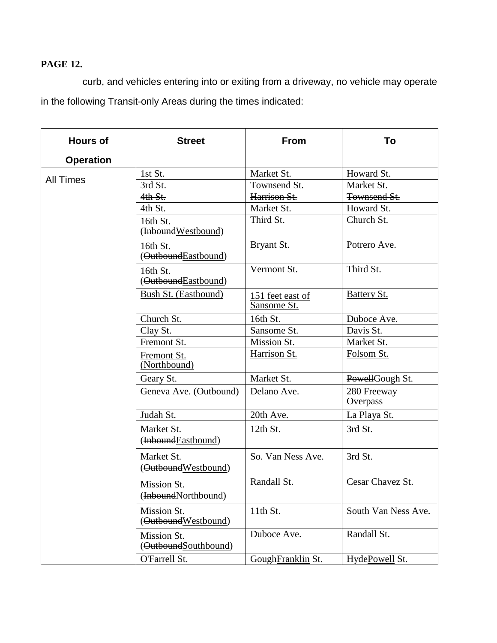# **PAGE 12.**

curb, and vehicles entering into or exiting from a driveway, no vehicle may operate in the following Transit-only Areas during the times indicated:

| <b>Hours of</b>  | <b>Street</b>                       | From                            | To                      |
|------------------|-------------------------------------|---------------------------------|-------------------------|
| <b>Operation</b> |                                     |                                 |                         |
| <b>All Times</b> | 1st St.                             | Market St.                      | Howard St.              |
|                  | 3rd St.                             | Townsend St.                    | Market St.              |
|                  | 4th St.                             | Harrison St.                    | Townsend St.            |
|                  | 4th St.                             | Market St.                      | Howard St.              |
|                  | 16th St.<br>(InboundWestbound)      | Third St.                       | Church St.              |
|                  | 16th St.<br>(OutboundEastbound)     | Bryant St.                      | Potrero Ave.            |
|                  | 16th St.<br>(OutboundEastbound)     | Vermont St.                     | Third St.               |
|                  | Bush St. (Eastbound)                | 151 feet east of<br>Sansome St. | <b>Battery St.</b>      |
|                  | Church St.                          | 16th St.                        | Duboce Ave.             |
|                  | Clay St.                            | Sansome St.                     | Davis St.               |
|                  | Fremont St.                         | Mission St.                     | Market St.              |
|                  | Fremont St.<br>(Northbound)         | Harrison St.                    | Folsom St.              |
|                  | Geary St.                           | Market St.                      | PowellGough St.         |
|                  | Geneva Ave. (Outbound)              | Delano Ave.                     | 280 Freeway<br>Overpass |
|                  | Judah St.                           | 20th Ave.                       | La Playa St.            |
|                  | Market St.<br>(InboundEastbound)    | 12th St.                        | 3rd St.                 |
|                  | Market St.<br>(OutboundWestbound)   | So. Van Ness Ave.               | 3rd St.                 |
|                  | Mission St.<br>(InboundNorthbound)  | Randall St.                     | Cesar Chavez St.        |
|                  | Mission St.<br>(OutboundWestbound)  | 11th St.                        | South Van Ness Ave.     |
|                  | Mission St.<br>(OutboundSouthbound) | Duboce Ave.                     | Randall St.             |
|                  | O'Farrell St.                       | GoughFranklin St.               | HydePowell St.          |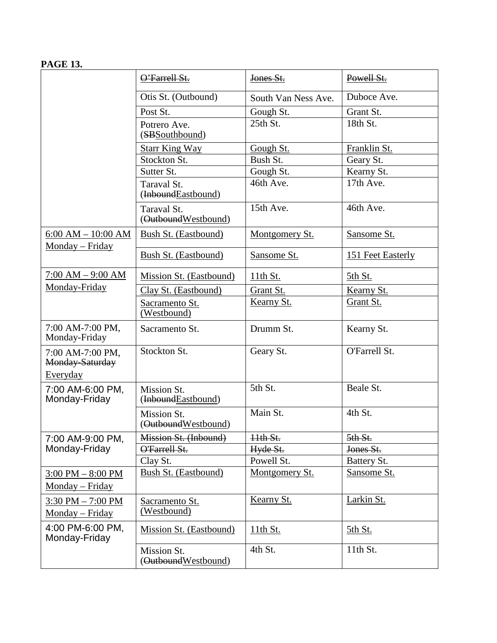# **PAGE 13.**

|                                                 | O'Farrell St.                      | Jones St.           | Powell St.        |
|-------------------------------------------------|------------------------------------|---------------------|-------------------|
|                                                 | Otis St. (Outbound)                | South Van Ness Ave. | Duboce Ave.       |
|                                                 | Post St.                           | Gough St.           | Grant St.         |
|                                                 | Potrero Ave.<br>(SBS outhbound)    | 25th St.            | 18th St.          |
|                                                 | <b>Starr King Way</b>              | Gough St.           | Franklin St.      |
|                                                 | Stockton St.                       | Bush St.            | Geary St.         |
|                                                 | Sutter St.                         | Gough St.           | Kearny St.        |
|                                                 | Taraval St.<br>(InboundEastbound)  | 46th Ave.           | 17th Ave.         |
|                                                 | Taraval St.<br>(OutboundWestbound) | 15th Ave.           | 46th Ave.         |
| $6:00 AM - 10:00 AM$                            | Bush St. (Eastbound)               | Montgomery St.      | Sansome St.       |
| Monday – Friday                                 | Bush St. (Eastbound)               | Sansome St.         | 151 Feet Easterly |
| $7:00 AM - 9:00 AM$                             | Mission St. (Eastbound)            | <u>11th St.</u>     | <u>5th St.</u>    |
| Monday-Friday                                   | Clay St. (Eastbound)               | Grant St.           | Kearny St.        |
|                                                 | Sacramento St.<br>(Westbound)      | Kearny St.          | Grant St.         |
| 7:00 AM-7:00 PM,<br>Monday-Friday               | Sacramento St.                     | Drumm St.           | Kearny St.        |
| 7:00 AM-7:00 PM,<br>Monday-Saturday<br>Everyday | Stockton St.                       | Geary St.           | O'Farrell St.     |
| 7:00 AM-6:00 PM,<br>Monday-Friday               | Mission St.<br>(InboundEastbound)  | 5th St.             | Beale St.         |
|                                                 | Mission St.<br>(OutboundWestbound) | Main St.            | 4th St.           |
| 7:00 AM-9:00 PM,                                | Mission St. (Inbound)              | Hth St.             | 5th St.           |
| Monday-Friday                                   | O'Farrell St.                      | Hyde St.            | Jones St.         |
|                                                 | Clay St.                           | Powell St.          | Battery St.       |
| $3:00$ PM $- 8:00$ PM                           | Bush St. (Eastbound)               | Montgomery St.      | Sansome St.       |
| Monday - Friday                                 |                                    |                     |                   |
| $3:30$ PM $- 7:00$ PM                           | Sacramento St.<br>(Westbound)      | Kearny St.          | Larkin St.        |
| Monday – Friday                                 |                                    |                     |                   |
| 4:00 PM-6:00 PM,<br>Monday-Friday               | Mission St. (Eastbound)            | <u>11th St.</u>     | <u>5th St.</u>    |
|                                                 | Mission St.<br>(OutboundWestbound) | 4th St.             | 11th St.          |